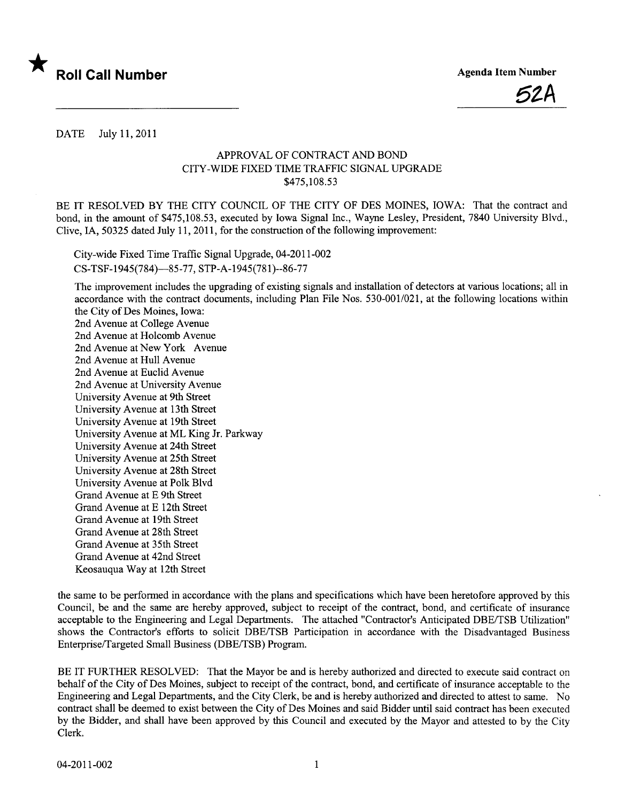



DATE July 11,2011

## APPROVAL OF CONTRACT AND BOND CITY-WIDE FIXED TIME TRAFFIC SIGNAL UPGRADE \$475,108.53

BE IT RESOLVED BY THE CITY COUNCIL OF THE CITY OF DES MOINES, IOWA: That the contract and bond, in the amount of \$475,108.53, executed by Iowa Signal Inc., Wayne Lesley, President, 7840 University Blvd., Clive, IA, 50325 dated July 11, 2011, for the construction of the following improvement:

City-wide Fixed Time Traffic Signal Upgrade, 04-2011-002 CS-TSF-1945(784)-85-77, STP-A-1945(781)--86-77

The improvement includes the upgrading of existing signals and installation of detectors at varous locations; all in accordance with the contract documents, including Plan File Nos. 530-001/021, at the following locations within the City of Des Moines, Iowa:

2nd Avenue at College Avenue 2nd Avenue at Holcomb Avenue 2nd Avenue at New York Avenue 2nd Avenue at Hull Avenue 2nd Avenue at Euclid Avenue 2nd Avenue at University Avenue University Avenue at 9th Street University Avenue at 13th Street University Avenue at 19th Street University Avenue at ML King Jr. Parkway University Avenue at 24th Street University Avenue at 25th Street University Avenue at 28th Street University Avenue at Polk Blvd Grand Avenue at E 9th Street Grand Avenue at E 12th Street Grand Avenue at 19th Street Grand Avenue at 28th Street Grand Avenue at 35th Street Grand Avenue at 42nd Street Keosauqua Way at 12th Street

the same to be performed in accordance with the plans and specifications which have been heretofore approved by this Council, be and the same are hereby approved, subject to receipt of the contract, bond, and certificate of insurance acceptable to the Engineering and Legal Departments. The attached "Contractor's Anticipated DBE/TSB Utilization" shows the Contractor's efforts to solicit DBE/TSB Participation in accordance with the Disadvantaged Business Enterprise/Targeted Small Business (DBE/TSB) Program.

BE IT FURTHER RESOLVED: That the Mayor be and is hereby authorized and directed to execute said contract on behalf of the City of Des Moines, subject to receipt of the contract, bond, and certificate of insurance acceptable to the Engineering and Legal Deparments, and the City Clerk, be and is hereby authorized and directed to attest to same. No contract shall be deemed to exist between the City of Des Moines and said Bidder until said contract has been executed by the Bidder, and shall have been approved by this Council and executed by the Mayor and attested to by the City Clerk.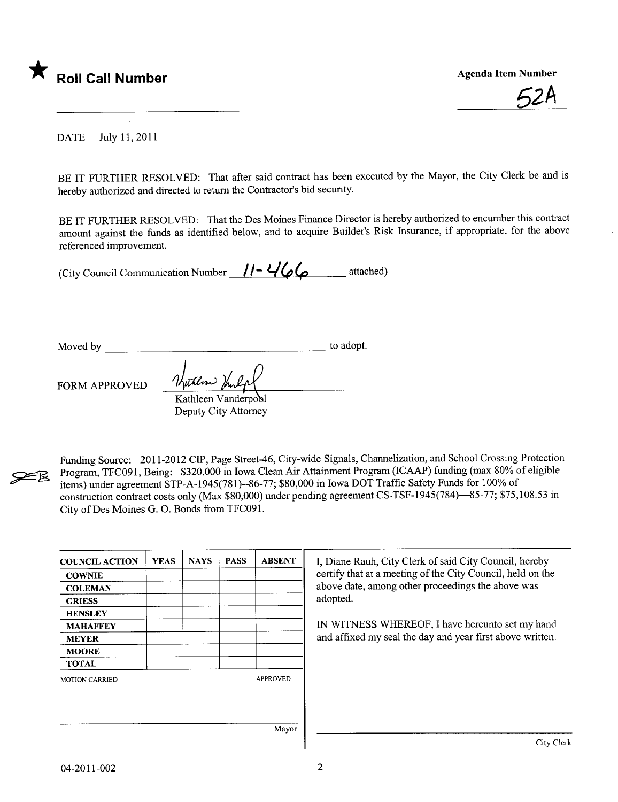

62A

DATE July 11,2011

BE IT FURTHER RESOLVED: That after said contract has been executed by the Mayor, the City Clerk be and is hereby authorized and directed to return the Contractor's bid security.

BE IT FURTHER RESOLVED: That the Des Moines Finance Director is hereby authorized to encumber this contract amount against the funds as identified below, and to acquire Builder's Risk Insurance, if appropriate, for the above referenced improvement.

(City Council Communication Number  $11 - 466$  attached)

Moved by to adopt.

~

 $FORM APPROVED$   $\frac{\frac{1}{100}}{Kathleen Vanderpool}$ Deputy City Attorney

Funding Source: 2011-2012 CIP, Page Street-46, City-wide Signals, Chanelization, and School Crossing Protection Program, TFC091, Being: \$320,000 in Iowa Clean Air Attainment Program (ICAAP) funding (max 80% of eligible items) under agreement STP-A-1945(781)--86-77; \$80,000 in Iowa DOT Traffc Safety Funds for 100% of construction contract costs only (Max \$80,000) under pending agreement CS-TSF-1945(784)-85-77; \$75,108.53 in City of Des Moines G. O. Bonds from TFC091.

| <b>COUNCIL ACTION</b> | <b>YEAS</b> | <b>NAYS</b> | <b>PASS</b> | <b>ABSENT</b>   | I, Diane Rauh, City Clerk of said City Council, hereby                                                                      |  |  |
|-----------------------|-------------|-------------|-------------|-----------------|-----------------------------------------------------------------------------------------------------------------------------|--|--|
| <b>COWNIE</b>         |             |             |             |                 | certify that at a meeting of the City Council, held on the<br>above date, among other proceedings the above was<br>adopted. |  |  |
| <b>COLEMAN</b>        |             |             |             |                 |                                                                                                                             |  |  |
| <b>GRIESS</b>         |             |             |             |                 |                                                                                                                             |  |  |
| <b>HENSLEY</b>        |             |             |             |                 |                                                                                                                             |  |  |
| <b>MAHAFFEY</b>       |             |             |             |                 | IN WITNESS WHEREOF, I have hereunto set my hand                                                                             |  |  |
| <b>MEYER</b>          |             |             |             |                 | and affixed my seal the day and year first above written.                                                                   |  |  |
| <b>MOORE</b>          |             |             |             |                 |                                                                                                                             |  |  |
| <b>TOTAL</b>          |             |             |             |                 |                                                                                                                             |  |  |
| <b>MOTION CARRIED</b> |             |             |             | <b>APPROVED</b> |                                                                                                                             |  |  |
|                       |             |             |             |                 |                                                                                                                             |  |  |
|                       |             |             |             | Mayor           |                                                                                                                             |  |  |
|                       |             |             |             |                 | City Clerk                                                                                                                  |  |  |